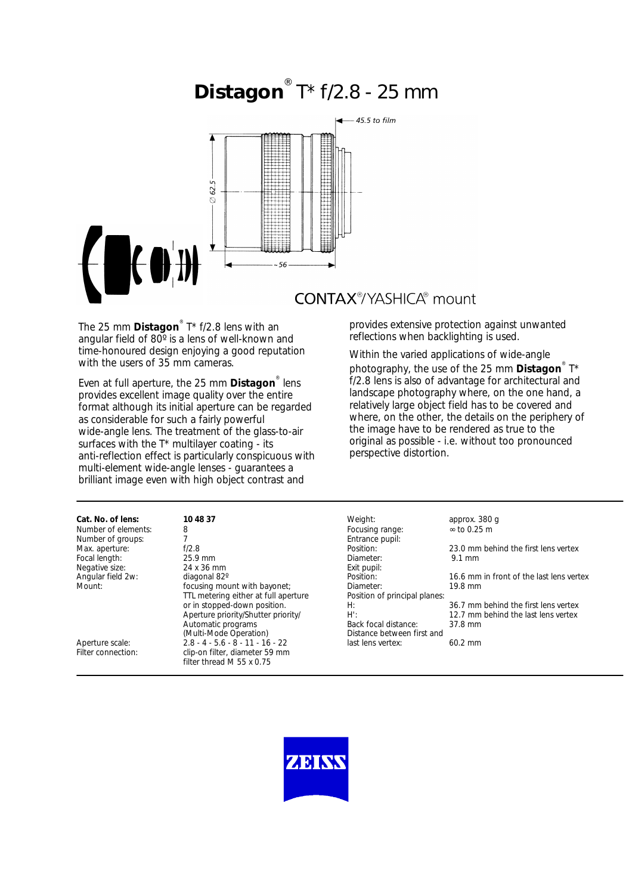# **Distagon** ® T\* f/2.8 - 25 mm



The 25 mm **Distagon**® T\* f/2.8 lens with an angular field of 80º is a lens of well-known and time-honoured design enjoying a good reputation with the users of 35 mm cameras.

Even at full aperture, the 25 mm **Distagon**® lens provides excellent image quality over the entire format although its initial aperture can be regarded as considerable for such a fairly powerful wide-angle lens. The treatment of the glass-to-air surfaces with the T\* multilayer coating - its anti-reflection effect is particularly conspicuous with multi-element wide-angle lenses - guarantees a brilliant image even with high object contrast and

## **CONTAX**<sup>®</sup>/YASHICA® mount

provides extensive protection against unwanted reflections when backlighting is used.

Within the varied applications of wide-angle photography, the use of the 25 mm **Distagon**® T\* f/2.8 lens is also of advantage for architectural and landscape photography where, on the one hand, a relatively large object field has to be covered and where, on the other, the details on the periphery of the image have to be rendered as true to the original as possible - i.e. without too pronounced perspective distortion.

| 23.0 mm behind the first lens vertex     |
|------------------------------------------|
|                                          |
|                                          |
|                                          |
|                                          |
|                                          |
| 16.6 mm in front of the last lens vertex |
|                                          |
|                                          |
| 36.7 mm behind the first lens vertex     |
| 12.7 mm behind the last lens vertex      |
|                                          |
|                                          |
|                                          |
|                                          |

| 10 48 37                             | Weight:                       | approx. 380 q                            |
|--------------------------------------|-------------------------------|------------------------------------------|
| 8                                    | Focusing range:               | $\approx$ to 0.25 m                      |
| 7                                    | Entrance pupil:               |                                          |
| f/2.8                                | Position:                     | 23.0 mm behind the first lens vertex     |
| 25.9 mm                              | Diameter:                     | $9.1 \text{ mm}$                         |
| 24 x 36 mm                           | Exit pupil:                   |                                          |
| diagonal 82°                         | Position:                     | 16.6 mm in front of the last lens vertex |
| focusing mount with bayonet;         | Diameter:                     | 19.8 mm                                  |
| TTL metering either at full aperture | Position of principal planes: |                                          |
| or in stopped-down position.         | H:                            | 36.7 mm behind the first lens vertex     |
| Aperture priority/Shutter priority/  | H':                           | 12.7 mm behind the last lens vertex      |
| Automatic programs                   | Back focal distance:          | 37.8 mm                                  |
| (Multi-Mode Operation)               | Distance between first and    |                                          |
| $2.8 - 4 - 5.6 - 8 - 11 - 16 - 22$   | last lens vertex:             | 60.2 mm                                  |
|                                      |                               |                                          |